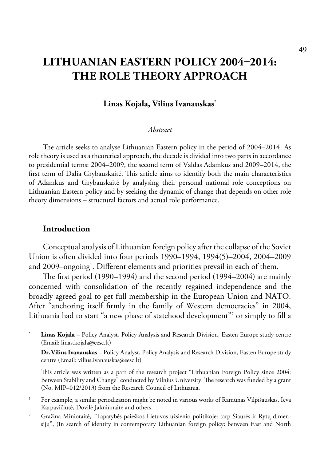# **Lithuanian Eastern Policy 2004–2014: The Role Theory Approach**

#### **Linas Kojala, Vilius Ivanauskas\***

#### *Abstract*

The article seeks to analyse Lithuanian Eastern policy in the period of 2004–2014. As role theory is used as a theoretical approach, the decade is divided into two parts in accordance to presidential terms: 2004–2009, the second term of Valdas Adamkus and 2009–2014, the first term of Dalia Grybauskaitė. This article aims to identify both the main characteristics of Adamkus and Grybauskaitė by analysing their personal national role conceptions on Lithuanian Eastern policy and by seeking the dynamic of change that depends on other role theory dimensions – structural factors and actual role performance.

#### **Introduction**

Conceptual analysis of Lithuanian foreign policy after the collapse of the Soviet Union is often divided into four periods 1990–1994, 1994(5)–2004, 2004–2009 and 2009–ongoing<sup>1</sup>. Different elements and priorities prevail in each of them.

The first period (1990–1994) and the second period (1994–2004) are mainly concerned with consolidation of the recently regained independence and the broadly agreed goal to get full membership in the European Union and NATO. After "anchoring itself firmly in the family of Western democracies" in 2004, Lithuania had to start "a new phase of statehood development"2 or simply to fill a

Linas Kojala – Policy Analyst, Policy Analysis and Research Division, Easten Europe study centre (Email: [linas.kojala@eesc.lt\)](mailto:linas.kojala@eesc.lt)

**Dr.Vilius Ivanauskas** – Policy Analyst, Policy Analysis and Research Division, Easten Europe study centre (Email: [vilius.ivanauskas@eesc.lt\)](mailto:vilius.ivanauskas@eesc.lt)

This article was written as a part of the research project "Lithuanian Foreign Policy since 2004: Between Stability and Change" conducted by Vilnius University. The research was funded by a grant (No. MIP–012/2013) from the Research Council of Lithuania.

<sup>&</sup>lt;sup>1</sup> For example, a similar periodization might be noted in various works of Ramūnas Vilpišauskas, Ieva Karpavičiūtė, Dovilė Jakniūnaitė and others.

<sup>&</sup>lt;sup>2</sup> Gražina Miniotaitė, "Tapatybės paieškos Lietuvos užsienio politikoje: tarp Šiaurės ir Rytų dimensijų", (In search of identity in contemporary Lithuanian foreign policy: between East and North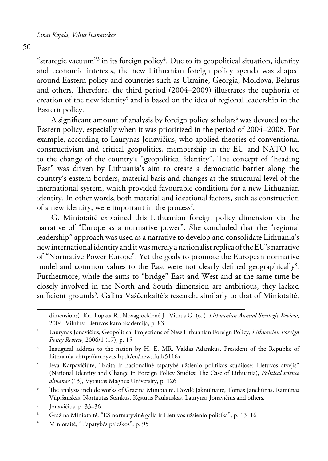"strategic vacuum"<sup>3</sup> in its foreign policy<sup>4</sup>. Due to its geopolitical situation, identity and economic interests, the new Lithuanian foreign policy agenda was shaped around Eastern policy and countries such as Ukraine, Georgia, Moldova, Belarus and others. Therefore, the third period (2004–2009) illustrates the euphoria of creation of the new identity<sup>5</sup> and is based on the idea of regional leadership in the Eastern policy.

A significant amount of analysis by foreign policy scholars<sup>6</sup> was devoted to the Eastern policy, especially when it was prioritized in the period of 2004–2008. For example, according to Laurynas Jonavičius, who applied theories of conventional constructivism and critical geopolitics, membership in the EU and NATO led to the change of the country's "geopolitical identity". The concept of "heading East" was driven by Lithuania's aim to create a democratic barrier along the country's eastern borders, material basis and changes at the structural level of the international system, which provided favourable conditions for a new Lithuanian identity. In other words, both material and ideational factors, such as construction of a new identity, were important in the process<sup>7</sup>.

G. Miniotaitė explained this Lithuanian foreign policy dimension via the narrative of "Europe as a normative power". She concluded that the "regional leadership" approach was used as a narrative to develop and consolidate Lithuania's new international identity and it was merely a nationalist replica of the EU's narrative of "Normative Power Europe". Yet the goals to promote the European normative model and common values to the East were not clearly defined geographically<sup>8</sup>. Furthermore, while the aims to "bridge" East and West and at the same time be closely involved in the North and South dimension are ambitious, they lacked sufficient grounds<sup>9</sup>. Galina Vaščenkaitė's research, similarly to that of Miniotaitė,

9 Miniotaitė, "Tapatybės paieškos", p. 95

dimensions), Kn. Lopata R., Novagrockienė J., Vitkus G. (ed), *Lithuanian Annual Strategic Review*, 2004. Vilnius: Lietuvos karo akademija, p. 83

<sup>3</sup> [Laurynas Jonavičius, Geopolitical Projections of New Lithuanian Foreign Policy](http://www.lfpr.lt/uploads/File/2006/Jonavicius.pdf), *[Lithuanian Foreign](http://www.lfpr.lt/index.php?id=76)  [Policy Review](http://www.lfpr.lt/index.php?id=76)*, 2006/1 (17), p. 15

<sup>4</sup> Inaugural address to the nation by H. E. MR. Valdas Adamkus, President of the Republic of Lithuania <http://archyvas.lrp.lt/en/news.full/5116>

<sup>5</sup> Ieva Karpavičiūtė, "Kaita ir nacionalinė tapatybė užsienio politikos studijose: Lietuvos atvejis" (National Identity and Change in Foreign Policy Studies: The Case of Lithuania), *Political science almanac* (13), Vytautas Magnus University, p. 126

<sup>6</sup> The analysis include works of Gražina Miniotaitė, Dovilė Jakniūnaitė, Tomas Janeliūnas, Ramūnas Vilpišauskas, Nortautas Stankus, Kęstutis Paulauskas, Laurynas Jonavičius and others.

<sup>7</sup> Jonavičius, p. 33–36

<sup>8</sup> Gražina Miniotaitė, "ES normatyvinė galia ir Lietuvos užsienio politika", p. 13–16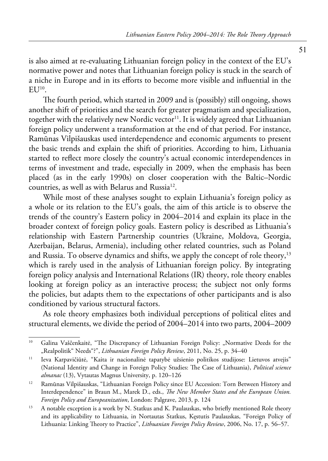is also aimed at re-evaluating Lithuanian foreign policy in the context of the EU's normative power and notes that Lithuanian foreign policy is stuck in the search of a niche in Europe and in its efforts to become more visible and influential in the  $E$ U<sup>10</sup>.

The fourth period, which started in 2009 and is (possibly) still ongoing, shows another shift of priorities and the search for greater pragmatism and specialization, together with the relatively new Nordic vector<sup>11</sup>. It is widely agreed that Lithuanian foreign policy underwent a transformation at the end of that period. For instance, Ramūnas Vilpišauskas used interdependence and economic arguments to present the basic trends and explain the shift of priorities. According to him, Lithuania started to reflect more closely the country's actual economic interdependences in terms of investment and trade, especially in 2009, when the emphasis has been placed (as in the early 1990s) on closer cooperation with the Baltic–Nordic countries, as well as with Belarus and Russia<sup>12</sup>.

While most of these analyses sought to explain Lithuania's foreign policy as a whole or its relation to the EU's goals, the aim of this article is to observe the trends of the country's Eastern policy in 2004–2014 and explain its place in the broader context of foreign policy goals. Eastern policy is described as Lithuania's relationship with Eastern Partnership countries (Ukraine, Moldova, Georgia, Azerbaijan, Belarus, Armenia), including other related countries, such as Poland and Russia. To observe dynamics and shifts, we apply the concept of role theory,<sup>13</sup> which is rarely used in the analysis of Lithuanian foreign policy. By integrating foreign policy analysis and International Relations (IR) theory, role theory enables looking at foreign policy as an interactive process; the subject not only forms the policies, but adapts them to the expectations of other participants and is also conditioned by various structural factors.

As role theory emphasizes both individual perceptions of political elites and structural elements, we divide the period of 2004–2014 into two parts, 2004–2009

<sup>&</sup>lt;sup>10</sup> Galina Vaščenkaitė, "The Discrepancy of Lithuanian Foreign Policy: "Normative Deeds for the "Realpolitik" Needs"?", *Lithuanian Foreign Policy Review*, 2011, No. 25, p. 34–40

<sup>&</sup>lt;sup>11</sup> Ieva Karpavičiūtė, "Kaita ir nacionalinė tapatybė užsienio politikos studijose: Lietuvos atvejis" (National Identity and Change in Foreign Policy Studies: The Case of Lithuania), *Political science almanac* (13), Vytautas Magnus University, p. 120–126

<sup>&</sup>lt;sup>12</sup> Ramūnas Vilpišauskas, "Lithuanian Foreign Policy since EU Accession: Torn Between History and Interdependence" in Braun M., Marek D., eds., *The New Member States and the European Union. Foreign Policy and Europeanization*, London: Palgrave, 2013, p. 124

<sup>&</sup>lt;sup>13</sup> A notable exception is a work by N. Statkus and K. Paulauskas, who briefly mentioned Role theory and its applicability to Lithuania, in Nortautas Statkus, Kęstutis Paulauskas, "Foreign Policy of Lithuania: Linking Theory to Practice", *Lithuanian Foreign Policy Review*, 2006, No. 17, p. 56–57.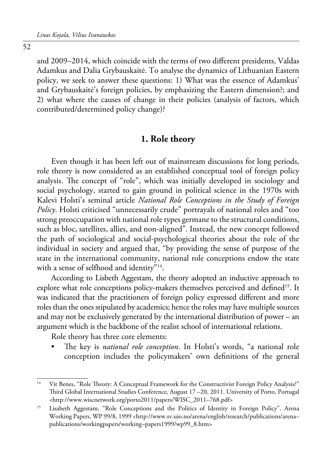52

and 2009–2014, which coincide with the terms of two different presidents, Valdas Adamkus and Dalia Grybauskaitė. To analyse the dynamics of Lithuanian Eastern policy, we seek to answer these questions: 1) What was the essence of Adamkus' and Grybauskaitė's foreign policies, by emphasizing the Eastern dimension?; and 2) what where the causes of change in their policies (analysis of factors, which contributed/determined policy change)?

#### **1. Role theory**

Even though it has been left out of mainstream discussions for long periods, role theory is now considered as an established conceptual tool of foreign policy analysis. The concept of "role", which was initially developed in sociology and social psychology, started to gain ground in political science in the 1970s with Kalevi Holsti's seminal article *National Role Conceptions in the Study of Foreign Policy*. Holsti criticised "unnecessarily crude" portrayals of national roles and "too strong preoccupation with national role types germane to the structural conditions, such as bloc, satellites, allies, and non-aligned". Instead, the new concept followed the path of sociological and social-psychological theories about the role of the individual in society and argued that, "by providing the sense of purpose of the state in the international community, national role conceptions endow the state with a sense of selfhood and identity"<sup>14</sup>.

According to Lisbeth Aggestam, the theory adopted an inductive approach to explore what role conceptions policy-makers themselves perceived and defined<sup>15</sup>. It was indicated that the practitioners of foreign policy expressed different and more roles than the ones stipulated by academics; hence the roles may have multiple sources and may not be exclusively generated by the international distribution of power – an argument which is the backbone of the realist school of international relations.

Role theory has three core elements:

The key is *national role conception*. In Holsti's words, "a national role conception includes the policymakers' own definitions of the general

<sup>&</sup>lt;sup>14</sup> Vit Benes, "Role Theory: A Conceptual Framework for the Constructivist Foreign Policy Analysis?" Third Global International Studies Conference, August 17 –20, 2011. University of Porto, Portugal <http://www.wiscnetwork.org/porto2011/papers/WISC\_2011–768.pdf>

<sup>&</sup>lt;sup>15</sup> Lisabeth Aggestam, "Role Conceptions and the Politics of Identity in Foreign Policy". Arena Working Papers, WP 99/8, 1999 <http://www.sv.uio.no/arena/english/research/publications/arena– publications/workingpapers/working–papers1999/wp99\_8.htm>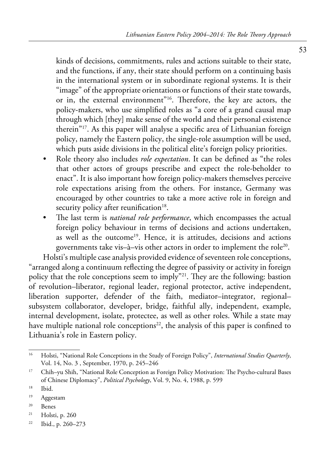kinds of decisions, commitments, rules and actions suitable to their state, and the functions, if any, their state should perform on a continuing basis in the international system or in subordinate regional systems. It is their "image" of the appropriate orientations or functions of their state towards, or in, the external environment"16. Therefore, the key are actors, the policy-makers, who use simplified roles as "a core of a grand causal map through which [they] make sense of the world and their personal existence therein"17. As this paper will analyse a specific area of Lithuanian foreign policy, namely the Eastern policy, the single-role assumption will be used, which puts aside divisions in the political elite's foreign policy priorities.

- Role theory also includes *role expectation*. It can be defined as "the roles that other actors of groups prescribe and expect the role-beholder to enact". It is also important how foreign policy-makers themselves perceive role expectations arising from the others. For instance, Germany was encouraged by other countries to take a more active role in foreign and security policy after reunification $18$ .
- The last term is *national role performance*, which encompasses the actual foreign policy behaviour in terms of decisions and actions undertaken, as well as the outcome<sup>19</sup>. Hence, it is attitudes, decisions and actions governments take vis–à–vis other actors in order to implement the role20.

Holsti's multiple case analysis provided evidence of seventeen role conceptions, "arranged along a continuum reflecting the degree of passivity or activity in foreign policy that the role conceptions seem to imply"21. They are the following: bastion of revolution–liberator, regional leader, regional protector, active independent, liberation supporter, defender of the faith, mediator–integrator, regional– subsystem collaborator, developer, bridge, faithful ally, independent, example, internal development, isolate, protectee, as well as other roles. While a state may have multiple national role conceptions $2^2$ , the analysis of this paper is confined to Lithuania's role in Eastern policy.

- 20 Benes
- 21 Holsti, p. 260
- 22 Ibid., p. 260–273

<sup>16</sup> Holsti, "National Role Conceptions in the Study of Foreign Policy", *International Studies Quarterly*, Vol. 14, No. 3 , September, 1970, p. 245–246

<sup>&</sup>lt;sup>17</sup> Chih–yu Shih, "National Role Conception as Foreign Policy Motivation: The Psycho-cultural Bases of Chinese Diplomacy", *Political Psychology*, Vol. 9, No. 4, 1988, p. 599

<sup>18</sup> Ibid.

<sup>19</sup> Aggestam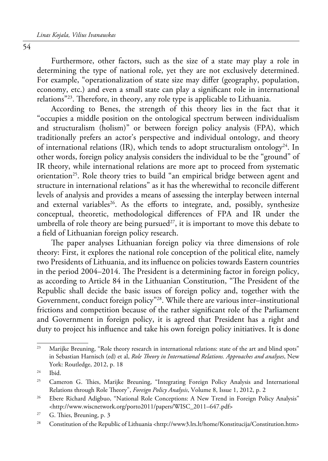Furthermore, other factors, such as the size of a state may play a role in determining the type of national role, yet they are not exclusively determined. For example, "operationalization of state size may differ (geography, population, economy, etc.) and even a small state can play a significant role in international relations"23. Therefore, in theory, any role type is applicable to Lithuania.

According to Benes, the strength of this theory lies in the fact that it "occupies a middle position on the ontological spectrum between individualism and structuralism (holism)" or between foreign policy analysis (FPA), which traditionally prefers an actor's perspective and individual ontology, and theory of international relations (IR), which tends to adopt structuralism ontology<sup>24</sup>. In other words, foreign policy analysis considers the individual to be the "ground" of IR theory, while international relations are more apt to proceed from systematic orientation<sup>25</sup>. Role theory tries to build "an empirical bridge between agent and structure in international relations" as it has the wherewithal to reconcile different levels of analysis and provides a means of assessing the interplay between internal and external variables<sup>26</sup>. As the efforts to integrate, and, possibly, synthesize conceptual, theoretic, methodological differences of FPA and IR under the umbrella of role theory are being pursued<sup>27</sup>, it is important to move this debate to a field of Lithuanian foreign policy research.

The paper analyses Lithuanian foreign policy via three dimensions of role theory: First, it explores the national role conception of the political elite, namely two Presidents of Lithuania, and its influence on policies towards Eastern countries in the period 2004–2014. The President is a determining factor in foreign policy, as according to Article 84 in the Lithuanian Constitution, "The President of the Republic shall decide the basic issues of foreign policy and, together with the Government, conduct foreign policy"28. While there are various inter–institutional frictions and competition because of the rather significant role of the Parliament and Government in foreign policy, it is agreed that President has a right and duty to project his influence and take his own foreign policy initiatives. It is done

<sup>&</sup>lt;sup>23</sup> Marijke Breuning, "Role theory research in international relations: state of the art and blind spots" in Sebastian Harnisch (ed) et al, *Role Theory in International Relations. Approaches and analyses*, New York: Routledge, 2012, p. 18

 $24$  Ibid.

<sup>&</sup>lt;sup>25</sup> Cameron G. Thies, Marijke Breuning, "Integrating Foreign Policy Analysis and International Relations through Role Theory", *Foreign Policy Analysis*, Volume 8, Issue 1, 2012, p. 2

<sup>&</sup>lt;sup>26</sup> Ebere Richard Adigbuo, "National Role Conceptions: A New Trend in Foreign Policy Analysis" <http://www.wiscnetwork.org/porto2011/papers/WISC\_2011–647.pdf>

<sup>27</sup> G. Thies, Breuning, p. 3

<sup>28</sup> Constitution of the Republic of Lithuania <http://www3.lrs.lt/home/Konstitucija/Constitution.htm>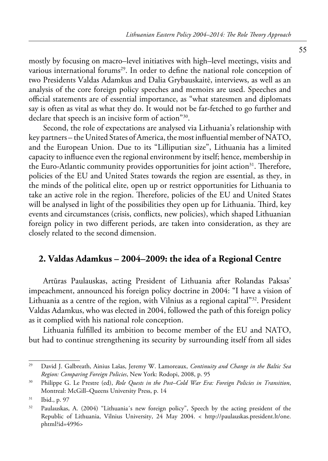mostly by focusing on macro–level initiatives with high–level meetings, visits and various international forums<sup>29</sup>. In order to define the national role conception of two Presidents Valdas Adamkus and Dalia Grybauskaitė, interviews, as well as an analysis of the core foreign policy speeches and memoirs are used. Speeches and official statements are of essential importance, as "what statesmen and diplomats say is often as vital as what they do. It would not be far-fetched to go further and declare that speech is an incisive form of action"30.

Second, the role of expectations are analysed via Lithuania's relationship with key partners – the United States of America, the most influential member of NATO, and the European Union. Due to its "Lilliputian size", Lithuania has a limited capacity to influence even the regional environment by itself; hence, membership in the Euro-Atlantic community provides opportunities for joint action<sup>31</sup>. Therefore, policies of the EU and United States towards the region are essential, as they, in the minds of the political elite, open up or restrict opportunities for Lithuania to take an active role in the region. Therefore, policies of the EU and United States will be analysed in light of the possibilities they open up for Lithuania. Third, key events and circumstances (crisis, conflicts, new policies), which shaped Lithuanian foreign policy in two different periods, are taken into consideration, as they are closely related to the second dimension.

### **2. Valdas Adamkus – 2004–2009: the idea of a Regional Centre**

Artūras Paulauskas, acting President of Lithuania after Rolandas Paksas' impeachment, announced his foreign policy doctrine in 2004: "I have a vision of Lithuania as a centre of the region, with Vilnius as a regional capital"32. President Valdas Adamkus, who was elected in 2004, followed the path of this foreign policy as it complied with his national role conception.

Lithuania fulfilled its ambition to become member of the EU and NATO, but had to continue strengthening its security by surrounding itself from all sides

<sup>29</sup> David J. Galbreath, Ainius Lašas, Jeremy W. Lamoreaux, *Continuity and Change in the Baltic Sea Region: Comparing Foreign Policies*, New York: Rodopi, 2008, p. 95

<sup>30</sup> Philippe G. Le Prestre (ed), *Role Quests in the Post–Cold War Era: Foreign Policies in Transition*, Montreal: McGill–Queens University Press, p. 14

<sup>31</sup> Ibid., p. 97

<sup>&</sup>lt;sup>32</sup> Paulauskas, A. (2004) "Lithuania's new foreign policy", Speech by the acting president of the Republic of Lithuania, Vilnius University, 24 May 2004. < http://paulauskas.president.lt/one. phtml?id=4996>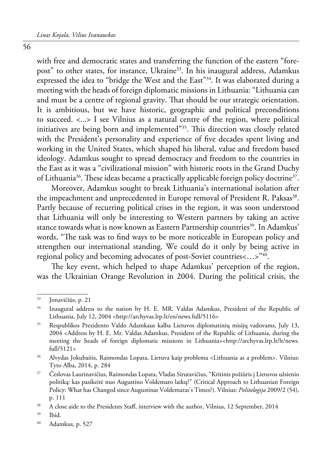56

with free and democratic states and transferring the function of the eastern "forepost" to other states, for instance, Ukraine<sup>33</sup>. In his inaugural address, Adamkus expressed the idea to "bridge the West and the East"34. It was elaborated during a meeting with the heads of foreign diplomatic missions in Lithuania: "Lithuania can and must be a centre of regional gravity. That should be our strategic orientation. It is ambitious, but we have historic, geographic and political preconditions to succeed. <...> I see Vilnius as a natural centre of the region, where political initiatives are being born and implemented"35. This direction was closely related with the President's personality and experience of five decades spent living and working in the United States, which shaped his liberal, value and freedom based ideology. Adamkus sought to spread democracy and freedom to the countries in the East as it was a "civilizational mission" with historic roots in the Grand Duchy of Lithuania<sup>36</sup>. These ideas became a practically applicable foreign policy doctrine<sup>37</sup>.

Moreover, Adamkus sought to break Lithuania's international isolation after the impeachment and unprecedented in Europe removal of President R. Paksas<sup>38</sup>. Partly because of recurring political crises in the region, it was soon understood that Lithuania will only be interesting to Western partners by taking an active stance towards what is now known as Eastern Partnership countries<sup>39</sup>. In Adamkus' words, "The task was to find ways to be more noticeable in European policy and strengthen our international standing. We could do it only by being active in regional policy and becoming advocates of post-Soviet countries <...>"40.

The key event, which helped to shape Adamkus' perception of the region, was the Ukrainian Orange Revolution in 2004. During the political crisis, the

<sup>33</sup> Jonavičiūs, p. 21

<sup>&</sup>lt;sup>34</sup> Inaugural address to the nation by H. E. MR. Valdas Adamkus, President of the Republic of Lithuania, July 12, 2004 <http://archyvas.lrp.lt/en/news.full/5116>

<sup>35</sup> Respublikos Prezidento Valdo Adamkaus kalba Lietuvos diplomatinių misijų vadovams, July 13, 2004 <Address by H. E. Mr. Valdas Adamkus, President of the Republic of Lithuania, during the meeting the heads of foreign diplomatic missions in Lithuania><http://archyvas.lrp.lt/lt/news. full/5121>

<sup>36</sup> Alvydas Jokubaitis, Raimondas Lopata, Lietuva kaip problema <Lithuania as a problem>. Vilnius: Tyto Alba, 2014, p. 284

<sup>37</sup> Česlovas Laurinavičius, Raimondas Lopata, Vladas Sirutavičius, "Kritinis požiūris į Lietuvos užsienio politiką: kas pasikeitė nuo Augustino Voldemaro laikų?" (Critical Approach to Lithuanian Foreign Policy: What has Changed since Augustinas Voldemaras's Times?). Vilnius: *Politologija* 2009/2 (54), p. 111

<sup>&</sup>lt;sup>38</sup> A close aide to the Presidents Staff, interview with the author, Vilnius, 12 September, 2014

<sup>39</sup> Ibid.

<sup>40</sup> Adamkus, p. 527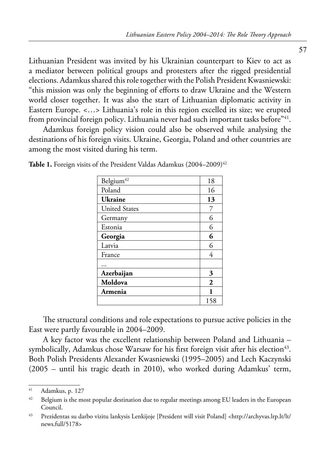Lithuanian President was invited by his Ukrainian counterpart to Kiev to act as a mediator between political groups and protesters after the rigged presidential elections. Adamkus shared this role together with the Polish President Kwasniewski: "this mission was only the beginning of efforts to draw Ukraine and the Western world closer together. It was also the start of Lithuanian diplomatic activity in Eastern Europe. <…> Lithuania's role in this region excelled its size; we erupted from provincial foreign policy. Lithuania never had such important tasks before<sup>"41</sup>.

Adamkus foreign policy vision could also be observed while analysing the destinations of his foreign visits. Ukraine, Georgia, Poland and other countries are among the most visited during his term.

| Belgium <sup>42</sup> | 18             |
|-----------------------|----------------|
| Poland                | 16             |
| Ukraine               | 13             |
| <b>United States</b>  | 7              |
| Germany               | 6              |
| Estonia               | 6              |
| Georgia               | 6              |
| Latvia                | 6              |
| France                | 4              |
|                       |                |
| Azerbaijan            | 3              |
| Moldova               | $\overline{2}$ |
| Armenia               | 1              |
|                       | 158            |

**Table 1.** Foreign visits of the President Valdas Adamkus (2004–2009)<sup>42</sup>

The structural conditions and role expectations to pursue active policies in the East were partly favourable in 2004–2009.

A key factor was the excellent relationship between Poland and Lithuania – symbolically, Adamkus chose Warsaw for his first foreign visit after his election<sup>43</sup>. Both Polish Presidents Alexander Kwasniewski (1995–2005) and Lech Kaczynski (2005 – until his tragic death in 2010), who worked during Adamkus' term,

<sup>41</sup> Adamkus, p. 127

<sup>&</sup>lt;sup>42</sup> Belgium is the most popular destination due to regular meetings among EU leaders in the European Council.

<sup>43</sup> Prezidentas su darbo vizitu lankysis Lenkijoje [President will visit Poland] <http://archyvas.lrp.lt/lt/ news.full/5178>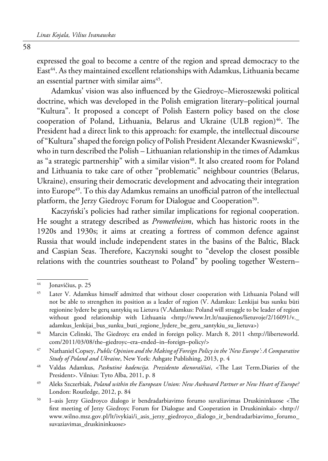expressed the goal to become a centre of the region and spread democracy to the East<sup>44</sup>. As they maintained excellent relationships with Adamkus, Lithuania became an essential partner with similar aims<sup>45</sup>.

Adamkus' vision was also influenced by the Giedroyc–Mieroszewski political doctrine, which was developed in the Polish emigration literary–political journal "Kultura". It proposed a concept of Polish Eastern policy based on the close cooperation of Poland, Lithuania, Belarus and Ukraine (ULB region)<sup>46</sup>. The President had a direct link to this approach: for example, the intellectual discourse of "Kultura" shaped the foreign policy of Polish President Alexander Kwasniewski<sup>47</sup>, who in turn described the Polish – Lithuanian relationship in the times of Adamkus as "a strategic partnership" with a similar vision<sup>48</sup>. It also created room for Poland and Lithuania to take care of other "problematic" neighbour countries (Belarus, Ukraine), ensuring their democratic development and advocating their integration into Europe<sup>49</sup>. To this day Adamkus remains an unofficial patron of the intellectual platform, the Jerzy Giedroyc Forum for Dialogue and Cooperation<sup>50</sup>.

Kaczyński's policies had rather similar implications for regional cooperation. He sought a strategy described as *Prometheism*, which has historic roots in the 1920s and 1930s; it aims at creating a fortress of common defence against Russia that would include independent states in the basins of the Baltic, Black and Caspian Seas. Therefore, Kaczynski sought to "develop the closest possible relations with the countries southeast to Poland" by pooling together Western–

49 Aleks Szczerbiak, *Poland within the European Union: New Awkward Partner or New Heart of Europe?* London: Routledge, 2012, p. 84

<sup>44</sup> Jonavičius, p. 25

<sup>45</sup> Later V. Adamkus himself admitted that without closer cooperation with Lithuania Poland will not be able to strengthen its position as a leader of region (V. Adamkus: Lenkijai bus sunku būti regionine lydere be gerų santykių su Lietuva (V.Adamkus: Poland will struggle to be leader of region without good relationship with Lithuania <http://www.lrt.lt/naujienos/lietuvoje/2/16091/v.\_ adamkus\_lenkijai\_bus\_sunku\_buti\_regione\_lydere\_be\_geru\_santykiu\_su\_lietuva>)

<sup>46</sup> Marcin Celinski, The Giedroyc era ended in foreign policy. March 8, 2011 <http://liberteworld. com/2011/03/08/the–giedroyc–era–ended–in–foreign–policy/>

<sup>47</sup> Nathaniel Copsey, *Public Opinion and the Making of Foreign Policy in the 'New Europe': A Comparative Study of Poland and Ukraine*, New York: Ashgate Publishing, 2013, p. 4

<sup>48</sup> Valdas Adamkus, *Paskutinė kadencija. Prezidento dienoraščiai*, <The Last Term.Diaries of the President>. Vilnius: Tyto Alba, 2011, p. 8

<sup>50</sup> I–asis Jerzy Giedroyco dialogo ir bendradarbiavimo forumo suvažiavimas Druskininkuose <The first meeting of Jerzy Giedroyc Forum for Dialogue and Cooperation in Druskininkai> <http:// www.wilno.msz.gov.pl/lt/ivykiai/i\_asis\_jerzy\_giedroyco\_dialogo\_ir\_bendradarbiavimo\_forumo\_ suvaziavimas\_druskininkuose>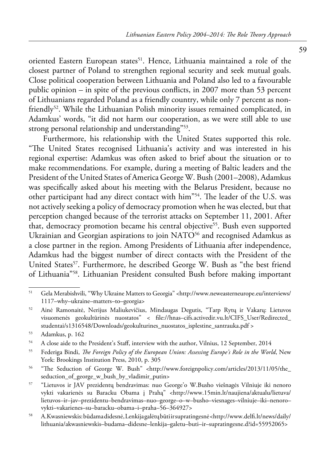oriented Eastern European states<sup>51</sup>. Hence, Lithuania maintained a role of the closest partner of Poland to strengthen regional security and seek mutual goals. Close political cooperation between Lithuania and Poland also led to a favourable public opinion – in spite of the previous conflicts, in 2007 more than 53 percent of Lithuanians regarded Poland as a friendly country, while only 7 percent as nonfriendly<sup>52</sup>. While the Lithuanian Polish minority issues remained complicated, in Adamkus' words, "it did not harm our cooperation, as we were still able to use strong personal relationship and understanding"53.

Furthermore, his relationship with the United States supported this role. "The United States recognised Lithuania's activity and was interested in his regional expertise: Adamkus was often asked to brief about the situation or to make recommendations. For example, during a meeting of Baltic leaders and the President of the United States of America George W. Bush (2001–2008), Adamkus was specifically asked about his meeting with the Belarus President, because no other participant had any direct contact with him"54. The leader of the U.S. was not actively seeking a policy of democracy promotion when he was elected, but that perception changed because of the terrorist attacks on September 11, 2001. After that, democracy promotion became his central objective<sup>55</sup>. Bush even supported Ukrainian and Georgian aspirations to join NATO<sup>56</sup> and recognised Adamkus as a close partner in the region. Among Presidents of Lithuania after independence, Adamkus had the biggest number of direct contacts with the President of the United States<sup>57</sup>. Furthermore, he described George W. Bush as "the best friend of Lithuania"58. Lithuanian President consulted Bush before making important

<sup>51</sup> Gela Merabishvili, "Why Ukraine Matters to Georgia" <http://www.neweasterneurope.eu/interviews/ 1117–why–ukraine–matters–to–georgia>

<sup>52</sup> Ainė Ramonaitė, Nerijus Maliukevičius, Mindaugas Degutis, "Tarp Rytų ir Vakarų: Lietuvos visuomenės geokultūrinės nuostatos" < file://hnas–cifs.activedir.vu.lt/CIFS\_User/Redirected\_ studentai/s1316548/Downloads/geokulturines\_nuostatos\_isplestine\_santrauka.pdf >

<sup>53</sup> Adamkus, p. 162

<sup>54</sup> A close aide to the President's Staff, interview with the author, Vilnius, 12 September, 2014

<sup>55</sup> Federiga Bindi, *The Foreign Policy of the European Union: Assessing Europe's Role in the World*, New York: Brookings Institution Press, 2010, p. 305

<sup>56 &</sup>quot;The Seduction of George W. Bush" <http://www.foreignpolicy.com/articles/2013/11/05/the\_ seduction\_of\_george\_w\_bush\_by\_vladimir\_putin>

<sup>57 &</sup>quot;Lietuvos ir JAV prezidentų bendravimas: nuo George'o W.Busho viešnagės Vilniuje iki nenoro vykti vakarienės su Baracku Obama į Prahą" <http://www.15min.lt/naujiena/aktualu/lietuva/ lietuvos–ir–jav–prezidentu–bendravimas–nuo–george–o–w–busho–viesnages–vilniuje–iki–nenoro– vykti–vakarienes–su–baracku–obama–i–praha–56–364927>

<sup>58</sup> A.Kwasniewskis: būdama didesnė, Lenkija galėtų būti ir supratingesnė <http://www.delfi.lt/news/daily/ lithuania/akwasniewskis–budama–didesne–lenkija–galetu–buti–ir–supratingesne.d?id=55952065>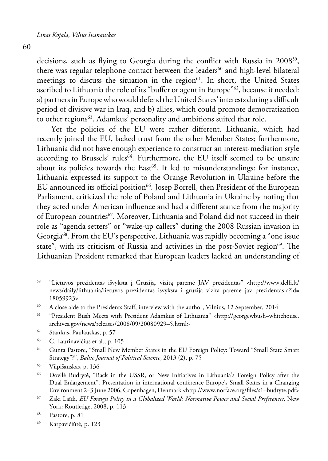decisions, such as flying to Georgia during the conflict with Russia in 2008<sup>59</sup>, there was regular telephone contact between the leaders<sup>60</sup> and high-level bilateral meetings to discuss the situation in the region<sup>61</sup>. In short, the United States ascribed to Lithuania the role of its "buffer or agent in Europe"<sup>62</sup>, because it needed: a) partners in Europe who would defend the United States' interests during a difficult period of divisive war in Iraq, and b) allies, which could promote democratization to other regions<sup>63</sup>. Adamkus' personality and ambitions suited that role.

Yet the policies of the EU were rather different. Lithuania, which had recently joined the EU, lacked trust from the other Member States; furthermore, Lithuania did not have enough experience to construct an interest-mediation style according to Brussels' rules<sup>64</sup>. Furthermore, the EU itself seemed to be unsure about its policies towards the  $East<sup>65</sup>$ . It led to misunderstandings: for instance, Lithuania expressed its support to the Orange Revolution in Ukraine before the EU announced its official position<sup>66</sup>. Josep Borrell, then President of the European Parliament, criticized the role of Poland and Lithuania in Ukraine by noting that they acted under American influence and had a different stance from the majority of European countries<sup>67</sup>. Moreover, Lithuania and Poland did not succeed in their role as "agenda setters" or "wake-up callers" during the 2008 Russian invasion in Georgia68. From the EU's perspective, Lithuania was rapidly becoming a "one issue state", with its criticism of Russia and activities in the post-Soviet region<sup>69</sup>. The Lithuanian President remarked that European leaders lacked an understanding of

<sup>59 &</sup>quot;Lietuvos prezidentas išvyksta į Gruziją, vizitą parėmė JAV prezidentas" <http://www.delfi.lt/ news/daily/lithuania/lietuvos–prezidentas–isvyksta–i–gruzija–vizita–pareme–jav–prezidentas.d?id= 18059923>

<sup>60</sup> A close aide to the Presidents Staff, interview with the author, Vilnius, 12 September, 2014

<sup>61 &</sup>quot;President Bush Meets with President Adamkus of Lithuania" <http://georgewbush–whitehouse. archives.gov/news/releases/2008/09/20080929–5.html>

<sup>62</sup> Stankus, Paulauskas, p. 57

<sup>63</sup> Č. Laurinavičius et al., p. 105

<sup>64</sup> Gunta Pastore, "Small New Member States in the EU Foreign Policy: Toward "Small State Smart Strategy"?", *Baltic Journal of Political Science*, 2013 (2), p. 75

<sup>65</sup> Vilpišauskas, p. 136

<sup>66</sup> Dovilė Budrytė, "Back in the USSR, or New Initiatives in Lithuania's Foreign Policy after the Dual Enlargement". Presentation in international conference Europe's Small States in a Changing Environment 2–3 June 2006, Copenhagen, Denmark <http://www.norface.org/files/s1–budryte.pdf>

<sup>67</sup> Zaki Laïdi, *EU Foreign Policy in a Globalized World: Normative Power and Social Preferences*, New York: Routledge, 2008, p. 113

<sup>68</sup> Pastore, p. 81

<sup>69</sup> Karpavičiūtė, p. 123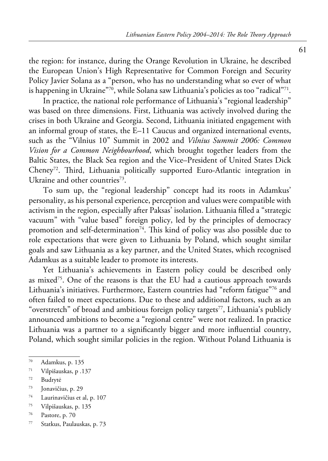the region: for instance, during the Orange Revolution in Ukraine, he described the European Union's High Representative for Common Foreign and Security Policy Javier Solana as a "person, who has no understanding what so ever of what is happening in Ukraine"70, while Solana saw Lithuania's policies as too "radical"71.

In practice, the national role performance of Lithuania's "regional leadership" was based on three dimensions. First, Lithuania was actively involved during the crises in both Ukraine and Georgia. Second, Lithuania initiated engagement with an informal group of states, the E–11 Caucus and organized international events, such as the "Vilnius 10" Summit in 2002 and *Vilnius Summit 2006: Common Vision for a Common Neighbourhood*, which brought together leaders from the Baltic States, the Black Sea region and the Vice–President of United States Dick Cheney72. Third, Lithuania politically supported Euro-Atlantic integration in Ukraine and other countries<sup>73</sup>.

To sum up, the "regional leadership" concept had its roots in Adamkus' personality, as his personal experience, perception and values were compatible with activism in the region, especially after Paksas' isolation. Lithuania filled a "strategic vacuum" with "value based" foreign policy, led by the principles of democracy promotion and self-determination<sup>74</sup>. This kind of policy was also possible due to role expectations that were given to Lithuania by Poland, which sought similar goals and saw Lithuania as a key partner, and the United States, which recognised Adamkus as a suitable leader to promote its interests.

Yet Lithuania's achievements in Eastern policy could be described only as mixed<sup>75</sup>. One of the reasons is that the EU had a cautious approach towards Lithuania's initiatives. Furthermore, Eastern countries had "reform fatigue"76 and often failed to meet expectations. Due to these and additional factors, such as an "overstretch" of broad and ambitious foreign policy targets<sup>77</sup>, Lithuania's publicly announced ambitions to become a "regional centre" were not realized. In practice Lithuania was a partner to a significantly bigger and more influential country, Poland, which sought similar policies in the region. Without Poland Lithuania is

- 73 Jonavičius, p. 29
- 74 Laurinavičius et al, p. 107
- 75 Vilpišauskas, p. 135
- 76 Pastore, p. 70
- 77 Statkus, Paulauskas, p. 73

<sup>70</sup> Adamkus, p. 135

<sup>71</sup> Vilpišauskas, p .137

<sup>72</sup> Budrytė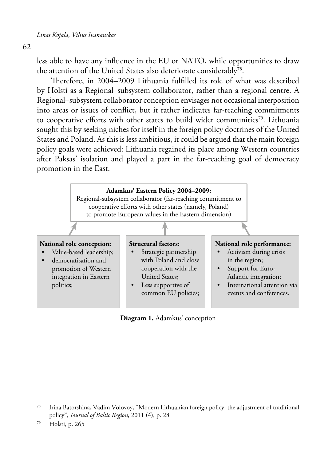62

less able to have any influence in the EU or NATO, while opportunities to draw the attention of the United States also deteriorate considerably<sup>78</sup>.

Therefore, in 2004–2009 Lithuania fulfilled its role of what was described by Holsti as a Regional–subsystem collaborator, rather than a regional centre. A Regional–subsystem collaborator conception envisages not occasional interposition into areas or issues of conflict, but it rather indicates far-reaching commitments to cooperative efforts with other states to build wider communities<sup>79</sup>. Lithuania sought this by seeking niches for itself in the foreign policy doctrines of the United States and Poland. As this is less ambitious, it could be argued that the main foreign policy goals were achieved: Lithuania regained its place among Western countries after Paksas' isolation and played a part in the far-reaching goal of democracy promotion in the East.



**Diagram 1.** Adamkus' conception

79 Holsti, p. 265

 $78$  Irina Batorshina, Vadim Volovoy, "Modern Lithuanian foreign policy: the adjustment of traditional policy", *Journal of Baltic Region*, 2011 (4), p. 28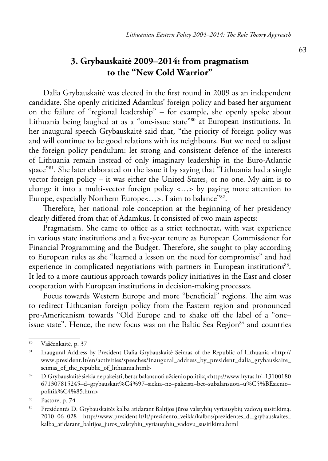## **3. Grybauskaitė 2009–2014: from pragmatism to the "New Cold Warrior"**

Dalia Grybauskaitė was elected in the first round in 2009 as an independent candidate. She openly criticized Adamkus' foreign policy and based her argument on the failure of "regional leadership" – for example, she openly spoke about Lithuania being laughed at as a "one-issue state"80 at European institutions. In her inaugural speech Grybauskaitė said that, "the priority of foreign policy was and will continue to be good relations with its neighbours. But we need to adjust the foreign policy pendulum: let strong and consistent defence of the interests of Lithuania remain instead of only imaginary leadership in the Euro-Atlantic space"<sup>81</sup>. She later elaborated on the issue it by saying that "Lithuania had a single vector foreign policy – it was either the United States, or no one. My aim is to change it into a multi-vector foreign policy <…> by paying more attention to Europe, especially Northern Europe<…>. I aim to balance"82.

Therefore, her national role conception at the beginning of her presidency clearly differed from that of Adamkus. It consisted of two main aspects:

Pragmatism. She came to office as a strict technocrat, with vast experience in various state institutions and a five-year tenure as European Commissioner for Financial Programming and the Budget. Therefore, she sought to play according to European rules as she "learned a lesson on the need for compromise" and had experience in complicated negotiations with partners in European institutions<sup>83</sup>. It led to a more cautious approach towards policy initiatives in the East and closer cooperation with European institutions in decision-making processes.

Focus towards Western Europe and more "beneficial" regions. The aim was to redirect Lithuanian foreign policy from the Eastern region and pronounced pro-Americanism towards "Old Europe and to shake off the label of a "one– issue state". Hence, the new focus was on the Baltic Sea Region $84$  and countries

<sup>80</sup> Vaščenkaitė, p. 37

<sup>81</sup> Inaugural Address by President Dalia Grybauskaitė Seimas of the Republic of Lithuania <http:// www.president.lt/en/activities/speeches/inaugural\_address\_by\_president\_dalia\_grybauskaite\_ seimas\_of\_the\_republic\_of\_lithuania.html>

<sup>82</sup> D.Grybauskaitė siekia ne pakeisti, bet subalansuoti užsienio politiką <http://www.lrytas.lt/–13100180 671307815245–d–grybauskait%C4%97–siekia–ne–pakeisti–bet–subalansuoti–u%C5%BEsienio– politik%C4%85.htm>

<sup>83</sup> Pastore, p. 74

<sup>84</sup> Prezidentės D. Grybauskaitės kalba atidarant Baltijos jūros valstybių vyriausybių vadovų susitikimą. 2010–06–028 http://www.president.lt/lt/prezidento\_veikla/kalbos/prezidentes\_d.\_grybauskaites\_ kalba\_atidarant\_baltijos\_juros\_valstybiu\_vyriausybiu\_vadovu\_susitikima.html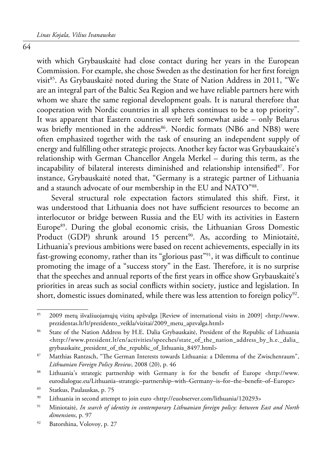64

with which Grybauskaitė had close contact during her years in the European Commission. For example, she chose Sweden as the destination for her first foreign visit<sup>85</sup>. As Grybauskaitė noted during the State of Nation Address in 2011, "We are an integral part of the Baltic Sea Region and we have reliable partners here with whom we share the same regional development goals. It is natural therefore that cooperation with Nordic countries in all spheres continues to be a top priority". It was apparent that Eastern countries were left somewhat aside – only Belarus was briefly mentioned in the address<sup>86</sup>. Nordic formats (NB6 and NB8) were often emphasized together with the task of ensuring an independent supply of energy and fulfilling other strategic projects. Another key factor was Grybauskaitė's relationship with German Chancellor Angela Merkel – during this term, as the incapability of bilateral interests diminished and relationship intensified<sup>87</sup>. For instance, Grybauskaitė noted that, "Germany is a strategic partner of Lithuania and a staunch advocate of our membership in the EU and NATO"88.

Several structural role expectation factors stimulated this shift. First, it was understood that Lithuania does not have sufficient resources to become an interlocutor or bridge between Russia and the EU with its activities in Eastern Europe<sup>89</sup>. During the global economic crisis, the Lithuanian Gross Domestic Product (GDP) shrunk around 15 percent<sup>90</sup>. As, according to Miniotaitė, Lithuania's previous ambitions were based on recent achievements, especially in its fast-growing economy, rather than its "glorious past"91, it was difficult to continue promoting the image of a "success story" in the East. Therefore, it is no surprise that the speeches and annual reports of the first years in office show Grybauskaitė's priorities in areas such as social conflicts within society, justice and legislation. In short, domestic issues dominated, while there was less attention to foreign policy<sup>92</sup>.

<sup>85 2009</sup> metų išvažiuojamųjų vizitų apžvalga [Review of international visits in 2009] <http://www. prezidentas.lt/lt/prezidento\_veikla/vizitai/2009\_metu\_apzvalga.html>

<sup>&</sup>lt;sup>86</sup> State of the Nation Address by H.E. Dalia Grybauskaitė, President of the Republic of Lithuania <http://www.president.lt/en/activities/speeches/state\_of\_the\_nation\_address\_by\_h.e.\_dalia\_ grybauskaite\_president\_of\_the\_republic\_of\_lithuania\_8497.html>

<sup>87</sup> Matthias Rantzsch, "The German Interests towards Lithuania: a Dilemma of the Zwischenraum", *Lithuanian Foreign Policy Review*, 2008 (20), p. 46

<sup>88</sup> Lithuania's strategic partnership with Germany is for the benefit of Europe <http://www. eurodialogue.eu/Lithuania–strategic–partnership–with–Germany–is–for–the–benefit–of–Europe>

<sup>89</sup> Statkus, Paulauskas, p. 75

<sup>90</sup> Lithuania in second attempt to join euro <http://euobserver.com/lithuania/120293>

<sup>91</sup> Miniotaitė, *In search of identity in contemporary Lithuanian foreign policy: between East and North dimensions*, p. 97

<sup>92</sup> Batorshina, Volovoy, p. 27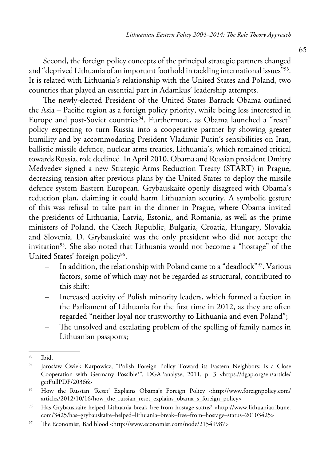Second, the foreign policy concepts of the principal strategic partners changed and "deprived Lithuania of an important foothold in tackling international issues"93. It is related with Lithuania's relationship with the United States and Poland, two countries that played an essential part in Adamkus' leadership attempts.

The newly-elected President of the United States Barrack Obama outlined the Asia – Pacific region as a foreign policy priority, while being less interested in Europe and post-Soviet countries<sup>94</sup>. Furthermore, as Obama launched a "reset" policy expecting to turn Russia into a cooperative partner by showing greater humility and by accommodating President Vladimir Putin's sensibilities on Iran, ballistic missile defence, nuclear arms treaties, Lithuania's, which remained critical towards Russia, role declined. In April 2010, Obama and Russian president Dmitry Medvedev signed a new Strategic Arms Reduction Treaty (START) in Prague, decreasing tension after previous plans by the United States to deploy the missile defence system Eastern European. Grybauskaitė openly disagreed with Obama's reduction plan, claiming it could harm Lithuanian security. A symbolic gesture of this was refusal to take part in the dinner in Prague, where Obama invited the presidents of Lithuania, Latvia, Estonia, and Romania, as well as the prime ministers of Poland, the Czech Republic, Bulgaria, Croatia, Hungary, Slovakia and Slovenia. D. Grybauskaitė was the only president who did not accept the invitation<sup>95</sup>. She also noted that Lithuania would not become a "hostage" of the United States' foreign policy<sup>96</sup>.

- In addition, the relationship with Poland came to a "deadlock"<sup>97</sup>. Various factors, some of which may not be regarded as structural, contributed to this shift:
- Increased activity of Polish minority leaders, which formed a faction in the Parliament of Lithuania for the first time in 2012, as they are often regarded "neither loyal nor trustworthy to Lithuania and even Poland";
- The unsolved and escalating problem of the spelling of family names in Lithuanian passports;

<sup>93</sup> Ibid.

<sup>94</sup> Jarosław Ćwiek–Karpowicz, "Polish Foreign Policy Toward its Eastern Neighbors: Is a Close Cooperation with Germany Possible?", DGAPanalyse, 2011, p. 3 <https://dgap.org/en/article/ getFullPDF/20366>

<sup>95</sup> [How the Russian 'Reset' Explains Obama's Foreign Policy](http://www.foreignpolicy.com/articles/2012/10/16/how_the_russian_reset_explains_obama_s_foreign_policy) <http://www.foreignpolicy.com/ articles/2012/10/16/how\_the\_russian\_reset\_explains\_obama\_s\_foreign\_policy>

<sup>96</sup> Has Grybauskaite helped Lithuania break free from hostage status? <http://www.lithuaniatribune. com/3425/has–grybauskaite–helped–lithuania–break–free–from–hostage–status–20103425>

<sup>97</sup> The Economist, Bad blood <http://www.economist.com/node/21549987>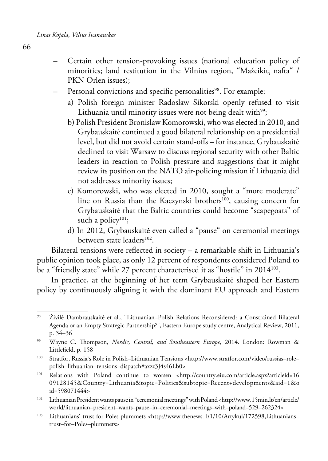- Certain other tension-provoking issues (national education policy of minorities; land restitution in the Vilnius region, "Mažeikių nafta" / PKN Orlen issues);
- Personal convictions and specific personalities<sup>98</sup>. For example:
	- a) Polish foreign minister Radoslaw Sikorski openly refused to visit Lithuania until minority issues were not being dealt with $99$ ;
	- b) Polish President Bronislaw Komorowski, who was elected in 2010, and Grybauskaitė continued a good bilateral relationship on a presidential level, but did not avoid certain stand-offs – for instance, Grybauskaitė declined to visit Warsaw to discuss regional security with other Baltic leaders in reaction to Polish pressure and suggestions that it might review its position on the NATO air-policing mission if Lithuania did not addresses minority issues;
	- c) Komorowski, who was elected in 2010, sought a "more moderate" line on Russia than the Kaczynski brothers<sup>100</sup>, causing concern for Grybauskaitė that the Baltic countries could become "scapegoats" of such a policy<sup>101</sup>;
	- d) In 2012, Grybauskaitė even called a "pause" on ceremonial meetings between state leaders<sup>102</sup>.

Bilateral tensions were reflected in society – a remarkable shift in Lithuania's public opinion took place, as only 12 percent of respondents considered Poland to be a "friendly state" while 27 percent characterised it as "hostile" in 2014<sup>103</sup>.

In practice, at the beginning of her term Grybauskaitė shaped her Eastern policy by continuously aligning it with the dominant EU approach and Eastern

<sup>98</sup> Živilė Dambrauskaitė et al., "Lithuanian–Polish Relations Reconsidered: a Constrained Bilateral Agenda or an Empty Strategic Partnership?", Eastern Europe study centre, Analytical Review, 2011, p. 34–36

<sup>99</sup> Wayne C. Thompson, *Nordic, Central, and Southeastern Europe*, 2014. London: Rowman & Littlefield, p. 158

<sup>100</sup> Stratfor, Russia's Role in Polish–Lithuanian Tensions <http://www.stratfor.com/video/russias–role– polish–lithuanian–tensions–dispatch#axzz3J4s46Lb0>

<sup>101</sup> Relations with Poland continue to worsen <http://country.eiu.com/article.aspx?articleid=16 09128145&Country=Lithuania&topic=Politics&subtopic=Recent+developments&aid=1&o id=598071444>

<sup>102</sup> Lithuanian President wants pause in "ceremonial meetings" with Poland <http://www.15min.lt/en/article/ world/lithuanian–president–wants–pause–in–ceremonial–meetings–with–poland–529–262324>

<sup>&</sup>lt;sup>103</sup> Lithuanians' trust for Poles plummets <http://www.thenews. l/1/10/Artykul/172598,Lithuanians– trust–for–Poles–plummets>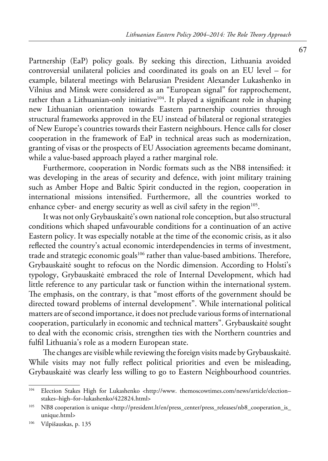Partnership (EaP) policy goals. By seeking this direction, Lithuania avoided controversial unilateral policies and coordinated its goals on an EU level – for example, bilateral meetings with Belarusian President Alexander Lukashenko in Vilnius and Minsk were considered as an "European signal" for rapprochement, rather than a Lithuanian-only initiative<sup>104</sup>. It played a significant role in shaping new Lithuanian orientation towards Eastern partnership countries through structural frameworks approved in the EU instead of bilateral or regional strategies of New Europe's countries towards their Eastern neighbours. Hence calls for closer cooperation in the framework of EaP in technical areas such as modernization, granting of visas or the prospects of EU Association agreements became dominant, while a value-based approach played a rather marginal role.

Furthermore, cooperation in Nordic formats such as the NB8 intensified: it was developing in the areas of security and defence, with joint military training such as Amber Hope and Baltic Spirit conducted in the region, cooperation in international missions intensified. Furthermore, all the countries worked to enhance cyber- and energy security as well as civil safety in the region<sup>105</sup>.

It was not only Grybauskaitė's own national role conception, but also structural conditions which shaped unfavourable conditions for a continuation of an active Eastern policy. It was especially notable at the time of the economic crisis, as it also reflected the country's actual economic interdependencies in terms of investment, trade and strategic economic goals<sup>106</sup> rather than value-based ambitions. Therefore, Grybauskaitė sought to refocus on the Nordic dimension. According to Holsti's typology, Grybauskaitė embraced the role of Internal Development, which had little reference to any particular task or function within the international system. The emphasis, on the contrary, is that "most efforts of the government should be directed toward problems of internal development". While international political matters are of second importance, it does not preclude various forms of international cooperation, particularly in economic and technical matters". Grybauskaitė sought to deal with the economic crisis, strengthen ties with the Northern countries and fulfil Lithuania's role as a modern European state.

The changes are visible while reviewing the foreign visits made by Grybauskaitė. While visits may not fully reflect political priorities and even be misleading, Grybauskaitė was clearly less willing to go to Eastern Neighbourhood countries.

<sup>&</sup>lt;sup>104</sup> Election Stakes High for Lukashenko <http://www. themoscowtimes.com/news/article/electionstakes–high–for–lukashenko/422824.html>

<sup>105</sup> NB8 cooperation is unique <http://president.lt/en/press\_center/press\_releases/nb8\_cooperation\_is\_ unique.html>

<sup>106</sup> Vilpišauskas, p. 135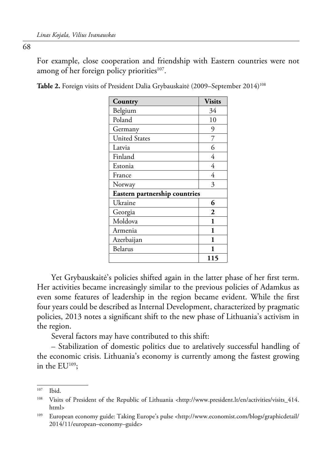For example, close cooperation and friendship with Eastern countries were not among of her foreign policy priorities $107$ .

| Country                       | <b>Visits</b> |  |
|-------------------------------|---------------|--|
| Belgium                       | 34            |  |
| Poland                        | 10            |  |
| Germany                       | 9             |  |
| <b>United States</b>          | 7             |  |
| Latvia                        | 6             |  |
| Finland                       | 4             |  |
| Estonia                       | 4             |  |
| France                        | 4             |  |
| Norway                        | 3             |  |
| Eastern partnership countries |               |  |
| Ukraine                       | 6             |  |
| Georgia                       | $\mathbf{2}$  |  |
| Moldova                       | 1             |  |
| Armenia                       | 1             |  |
| Azerbaijan                    | 1             |  |
| Belarus                       | 1             |  |
|                               | 115           |  |

Table 2. Foreign visits of President Dalia Grybauskaitė (2009–September 2014)<sup>108</sup>

Yet Grybauskaitė's policies shifted again in the latter phase of her first term. Her activities became increasingly similar to the previous policies of Adamkus as even some features of leadership in the region became evident. While the first four years could be described as Internal Development, characterized by pragmatic policies, 2013 notes a significant shift to the new phase of Lithuania's activism in the region.

Several factors may have contributed to this shift:

– Stabilization of domestic politics due to arelatively successful handling of the economic crisis. Lithuania's economy is currently among the fastest growing in the EU109;

<sup>107</sup> Ibid.

<sup>108</sup> Visits of President of the Republic of Lithuania <http://www.president.lt/en/activities/visits\_414. html>

<sup>109</sup> European economy guide: Taking Europe's pulse <http://www.economist.com/blogs/graphicdetail/ 2014/11/european–economy–guide>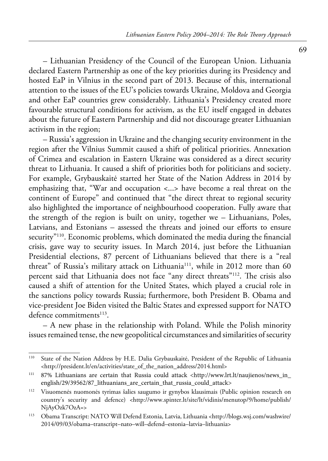– Lithuanian Presidency of the Council of the European Union. Lithuania declared Eastern Partnership as one of the key priorities during its Presidency and hosted EaP in Vilnius in the second part of 2013. Because of this, international attention to the issues of the EU's policies towards Ukraine, Moldova and Georgia and other EaP countries grew considerably. Lithuania's Presidency created more favourable structural conditions for activism, as the EU itself engaged in debates about the future of Eastern Partnership and did not discourage greater Lithuanian activism in the region;

– Russia's aggression in Ukraine and the changing security environment in the region after the Vilnius Summit caused a shift of political priorities. Annexation of Crimea and escalation in Eastern Ukraine was considered as a direct security threat to Lithuania. It caused a shift of priorities both for politicians and society. For example, Grybauskaitė started her State of the Nation Address in 2014 by emphasizing that, "War and occupation <...> have become a real threat on the continent of Europe" and continued that "the direct threat to regional security also highlighted the importance of neighbourhood cooperation. Fully aware that the strength of the region is built on unity, together we – Lithuanians, Poles, Latvians, and Estonians – assessed the threats and joined our efforts to ensure security"110. Economic problems, which dominated the media during the financial crisis, gave way to security issues. In March 2014, just before the Lithuanian Presidential elections, 87 percent of Lithuanians believed that there is a "real threat" of Russia's military attack on Lithuania<sup>111</sup>, while in 2012 more than 60 percent said that Lithuania does not face "any direct threats"112. The crisis also caused a shift of attention for the United States, which played a crucial role in the sanctions policy towards Russia; furthermore, both President B. Obama and vice-president Joe Biden visited the Baltic States and expressed support for NATO defence commitments $113$ .

– A new phase in the relationship with Poland. While the Polish minority issues remained tense, the new geopolitical circumstances and similarities of security

<sup>110</sup> State of the Nation Address by H.E. Dalia Grybauskaitė, President of the Republic of Lithuania <http://president.lt/en/activities/state\_of\_the\_nation\_address/2014.html>

<sup>111 87%</sup> Lithuanians are certain that Russia could attack <http://www.lrt.lt/naujienos/news\_in\_ english/29/39562/87\_lithuanians\_are\_certain\_that\_russia\_could\_attack>

<sup>112</sup> Visuomenės nuomonės tyrimas šalies saugumo ir gynybos klausimais (Public opinion research on country's security and defence) <http://www.spinter.lt/site/lt/vidinis/menutop/9/home/publish/ NjAyOzk7OzA=>

<sup>113</sup> Obama Transcript: NATO Will Defend Estonia, Latvia, Lithuania <http://blogs.wsj.com/washwire/ 2014/09/03/obama–transcript–nato–will–defend–estonia–latvia–lithuania>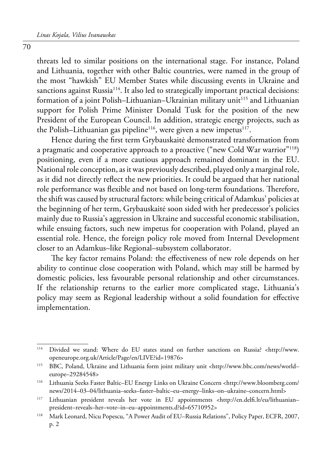threats led to similar positions on the international stage. For instance, Poland and Lithuania, together with other Baltic countries, were named in the group of the most "hawkish" EU Member States while discussing events in Ukraine and sanctions against Russia<sup>114</sup>. It also led to strategically important practical decisions: formation of a joint Polish-Lithuanian-Ukrainian military unit<sup>115</sup> and Lithuanian support for Polish Prime Minister Donald Tusk for the position of the new President of the European Council. In addition, strategic energy projects, such as the Polish–Lithuanian gas pipeline<sup>116</sup>, were given a new impetus<sup>117</sup>.

Hence during the first term Grybauskaitė demonstrated transformation from a pragmatic and cooperative approach to a proactive ("new Cold War warrior"<sup>118</sup>) positioning, even if a more cautious approach remained dominant in the EU. National role conception, as it was previously described, played only a marginal role, as it did not directly reflect the new priorities. It could be argued that her national role performance was flexible and not based on long-term foundations. Therefore, the shift was caused by structural factors: while being critical of Adamkus' policies at the beginning of her term, Grybauskaitė soon sided with her predecessor's policies mainly due to Russia's aggression in Ukraine and successful economic stabilisation, while ensuing factors, such new impetus for cooperation with Poland, played an essential role. Hence, the foreign policy role moved from Internal Development closer to an Adamkus–like Regional–subsystem collaborator.

The key factor remains Poland: the effectiveness of new role depends on her ability to continue close cooperation with Poland, which may still be harmed by domestic policies, less favourable personal relationship and other circumstances. If the relationship returns to the earlier more complicated stage, Lithuania's policy may seem as Regional leadership without a solid foundation for effective implementation.

<sup>114</sup> Divided we stand: Where do EU states stand on further sanctions on Russia? <http://www. openeurope.org.uk/Article/Page/en/LIVE?id=19876>

<sup>115</sup> BBC, Poland, Ukraine and Lithuania form joint military unit <http://www.bbc.com/news/world– europe–29284548>

<sup>116</sup> Lithuania Seeks Faster Baltic–EU Energy Links on Ukraine Concern <http://www.bloomberg.com/ news/2014–03–04/lithuania–seeks–faster–baltic–eu–energy–links–on–ukraine–concern.html>

<sup>117</sup> Lithuanian president reveals her vote in EU appointments <http://en.delfi.lt/eu/lithuanian– president–reveals–her–vote–in–eu–appointments.d?id=65710952>

<sup>118</sup> Mark Leonard, Nicu Popescu, "A Power Audit of EU–Russia Relations", Policy Paper, ECFR, 2007, p. 2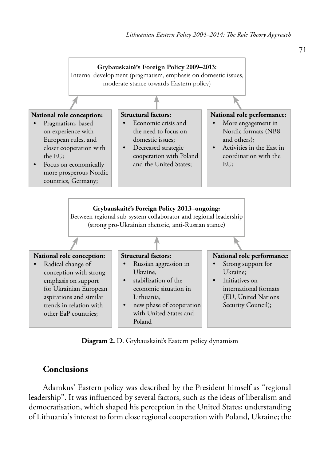

**Diagram 2.** D. Grybauskaitė's Eastern policy dynamism

#### **Conclusions**

Adamkus' Eastern policy was described by the President himself as "regional leadership". It was influenced by several factors, such as the ideas of liberalism and democratisation, which shaped his perception in the United States; understanding of Lithuania's interest to form close regional cooperation with Poland, Ukraine; the